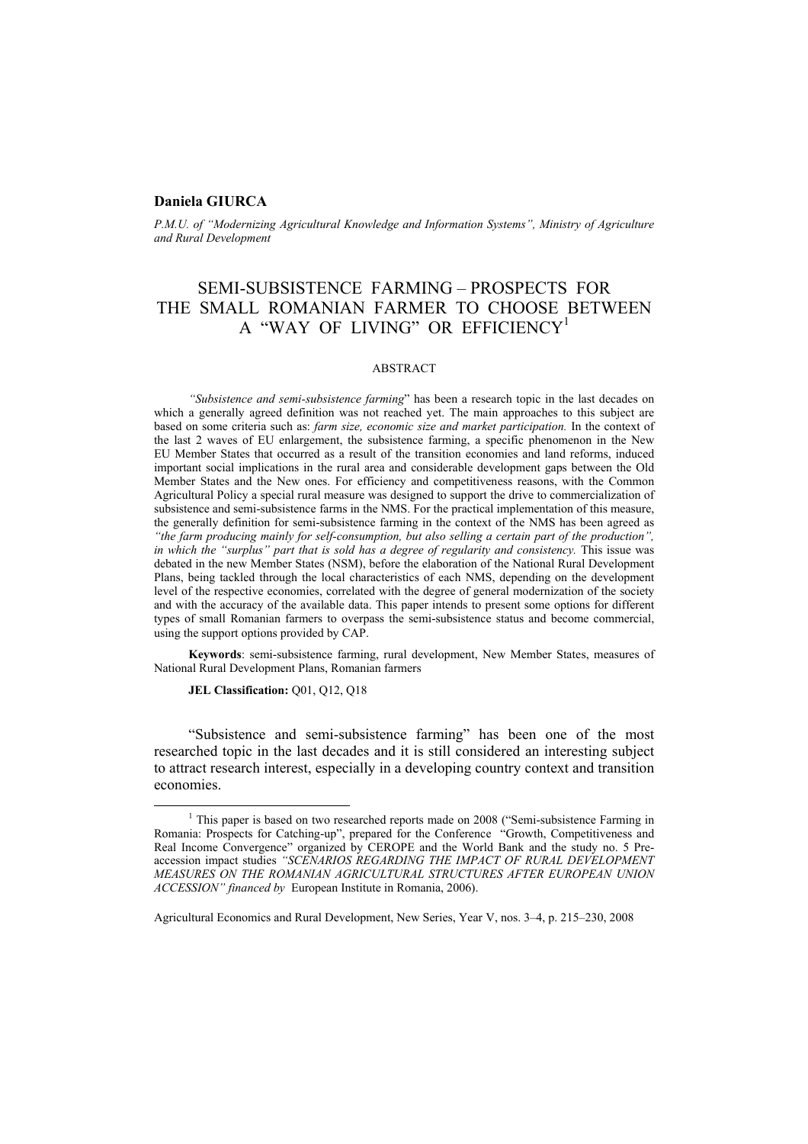## **Daniela GIURCA**

*P.M.U. of "Modernizing Agricultural Knowledge and Information Systems", Ministry of Agriculture and Rural Development* 

# SEMI-SUBSISTENCE FARMING – PROSPECTS FOR THE SMALL ROMANIAN FARMER TO CHOOSE BETWEEN A "WAY OF LIVING" OR EFFICIENCY<sup>1</sup>

#### ABSTRACT

*"Subsistence and semi-subsistence farming*" has been a research topic in the last decades on which a generally agreed definition was not reached yet. The main approaches to this subject are based on some criteria such as: *farm size, economic size and market participation.* In the context of the last 2 waves of EU enlargement, the subsistence farming, a specific phenomenon in the New EU Member States that occurred as a result of the transition economies and land reforms, induced important social implications in the rural area and considerable development gaps between the Old Member States and the New ones. For efficiency and competitiveness reasons, with the Common Agricultural Policy a special rural measure was designed to support the drive to commercialization of subsistence and semi-subsistence farms in the NMS. For the practical implementation of this measure, the generally definition for semi-subsistence farming in the context of the NMS has been agreed as *"the farm producing mainly for self-consumption, but also selling a certain part of the production", in which the "surplus" part that is sold has a degree of regularity and consistency.* This issue was debated in the new Member States (NSM), before the elaboration of the National Rural Development Plans, being tackled through the local characteristics of each NMS, depending on the development level of the respective economies, correlated with the degree of general modernization of the society and with the accuracy of the available data. This paper intends to present some options for different types of small Romanian farmers to overpass the semi-subsistence status and become commercial, using the support options provided by CAP.

**Keywords**: semi-subsistence farming, rural development, New Member States, measures of National Rural Development Plans, Romanian farmers

JEL Classification: Q01, Q12, Q18

"Subsistence and semi-subsistence farming" has been one of the most researched topic in the last decades and it is still considered an interesting subject to attract research interest, especially in a developing country context and transition economies.

 $\frac{1}{1}$ <sup>1</sup> This paper is based on two researched reports made on 2008 ("Semi-subsistence Farming in Romania: Prospects for Catching-up", prepared for the Conference "Growth, Competitiveness and Real Income Convergence" organized by CEROPE and the World Bank and the study no. 5 Preaccession impact studies *"SCENARIOS REGARDING THE IMPACT OF RURAL DEVELOPMENT MEASURES ON THE ROMANIAN AGRICULTURAL STRUCTURES AFTER EUROPEAN UNION ACCESSION" financed by* European Institute in Romania, 2006).

Agricultural Economics and Rural Development, New Series, Year V, nos. 3–4, p. 215–230, 2008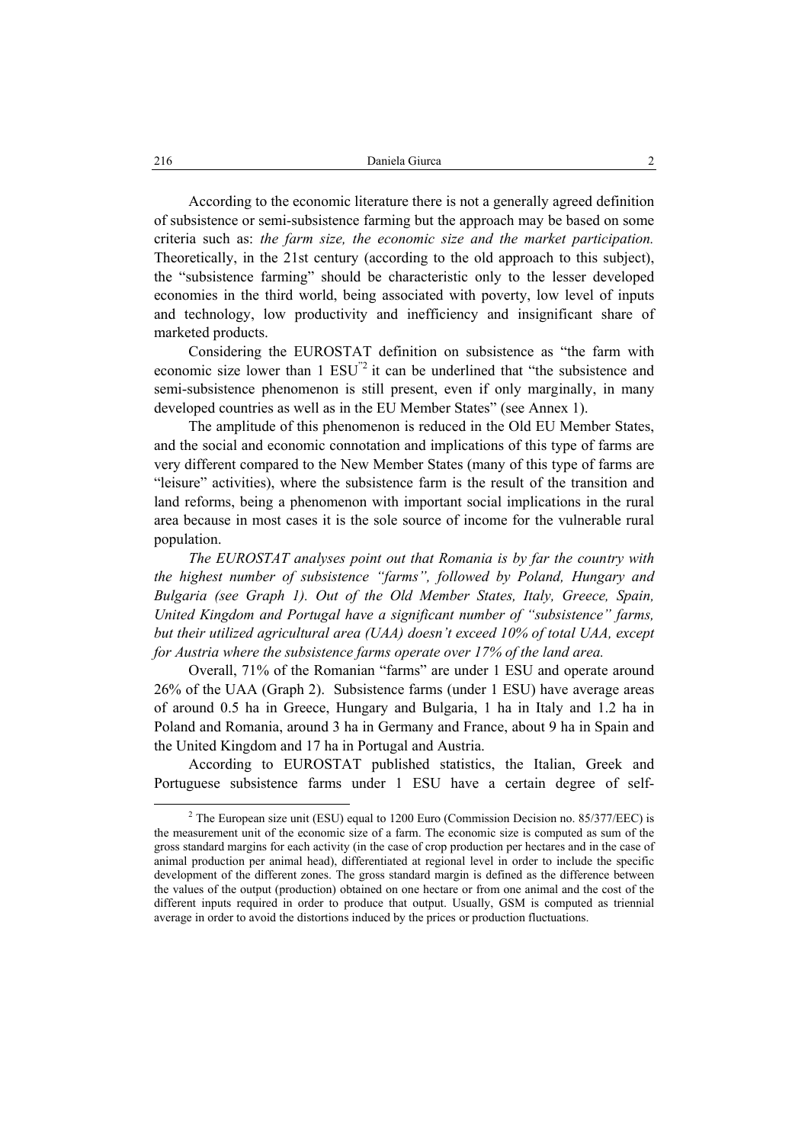According to the economic literature there is not a generally agreed definition of subsistence or semi-subsistence farming but the approach may be based on some criteria such as: *the farm size, the economic size and the market participation.* Theoretically, in the 21st century (according to the old approach to this subject), the "subsistence farming" should be characteristic only to the lesser developed economies in the third world, being associated with poverty, low level of inputs and technology, low productivity and inefficiency and insignificant share of marketed products.

Considering the EUROSTAT definition on subsistence as "the farm with economic size lower than 1 ESU<sup>"2</sup> it can be underlined that "the subsistence and semi-subsistence phenomenon is still present, even if only marginally, in many developed countries as well as in the EU Member States" (see Annex 1).

The amplitude of this phenomenon is reduced in the Old EU Member States, and the social and economic connotation and implications of this type of farms are very different compared to the New Member States (many of this type of farms are "leisure" activities), where the subsistence farm is the result of the transition and land reforms, being a phenomenon with important social implications in the rural area because in most cases it is the sole source of income for the vulnerable rural population.

*The EUROSTAT analyses point out that Romania is by far the country with the highest number of subsistence "farms", followed by Poland, Hungary and Bulgaria (see Graph 1). Out of the Old Member States, Italy, Greece, Spain, United Kingdom and Portugal have a significant number of "subsistence" farms, but their utilized agricultural area (UAA) doesn't exceed 10% of total UAA, except for Austria where the subsistence farms operate over 17% of the land area.* 

Overall, 71% of the Romanian "farms" are under 1 ESU and operate around 26% of the UAA (Graph 2). Subsistence farms (under 1 ESU) have average areas of around 0.5 ha in Greece, Hungary and Bulgaria, 1 ha in Italy and 1.2 ha in Poland and Romania, around 3 ha in Germany and France, about 9 ha in Spain and the United Kingdom and 17 ha in Portugal and Austria.

According to EUROSTAT published statistics, the Italian, Greek and Portuguese subsistence farms under 1 ESU have a certain degree of self-

 <sup>2</sup>  $2$  The European size unit (ESU) equal to 1200 Euro (Commission Decision no. 85/377/EEC) is the measurement unit of the economic size of a farm. The economic size is computed as sum of the gross standard margins for each activity (in the case of crop production per hectares and in the case of animal production per animal head), differentiated at regional level in order to include the specific development of the different zones. The gross standard margin is defined as the difference between the values of the output (production) obtained on one hectare or from one animal and the cost of the different inputs required in order to produce that output. Usually, GSM is computed as triennial average in order to avoid the distortions induced by the prices or production fluctuations.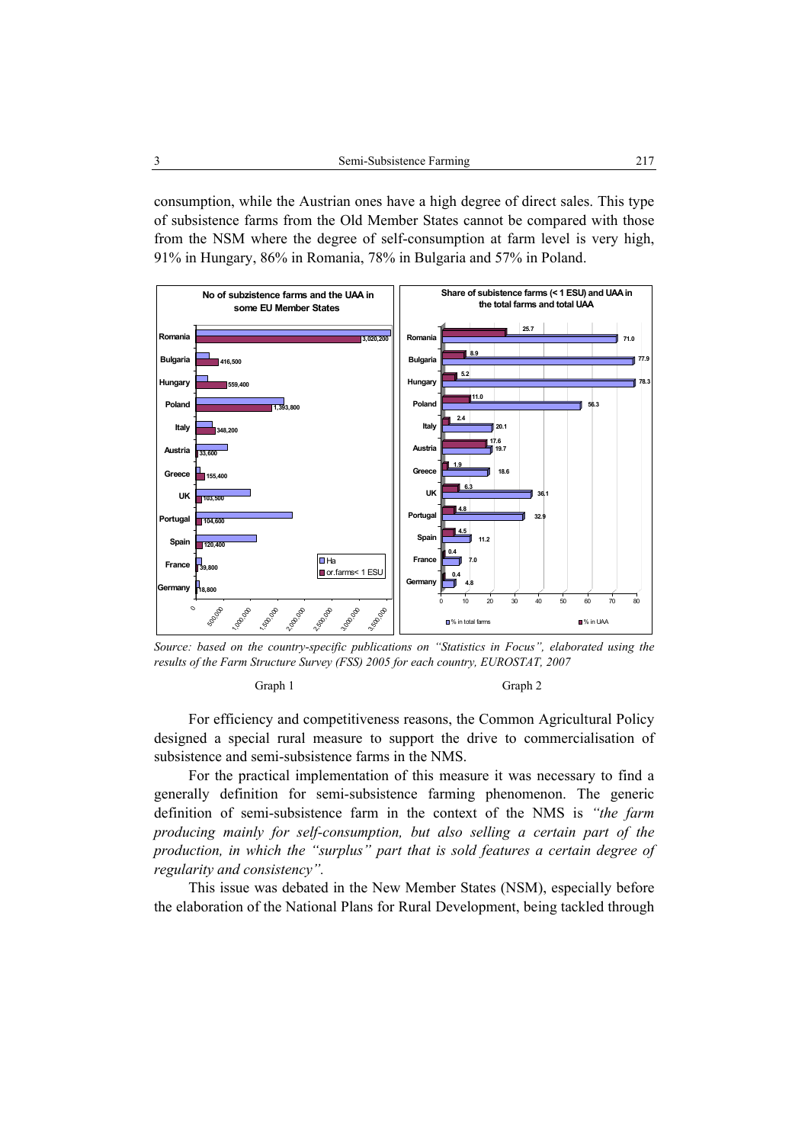consumption, while the Austrian ones have a high degree of direct sales. This type of subsistence farms from the Old Member States cannot be compared with those from the NSM where the degree of self-consumption at farm level is very high, 91% in Hungary, 86% in Romania, 78% in Bulgaria and 57% in Poland.



*Source: based on the country-specific publications on "Statistics in Focus", elaborated using the results of the Farm Structure Survey (FSS) 2005 for each country, EUROSTAT, 2007* 

**Calculate Graph 1** Graph 2

For efficiency and competitiveness reasons, the Common Agricultural Policy designed a special rural measure to support the drive to commercialisation of subsistence and semi-subsistence farms in the NMS.

For the practical implementation of this measure it was necessary to find a generally definition for semi-subsistence farming phenomenon. The generic definition of semi-subsistence farm in the context of the NMS is *"the farm producing mainly for self-consumption, but also selling a certain part of the production, in which the "surplus" part that is sold features a certain degree of regularity and consistency".*

This issue was debated in the New Member States (NSM), especially before the elaboration of the National Plans for Rural Development, being tackled through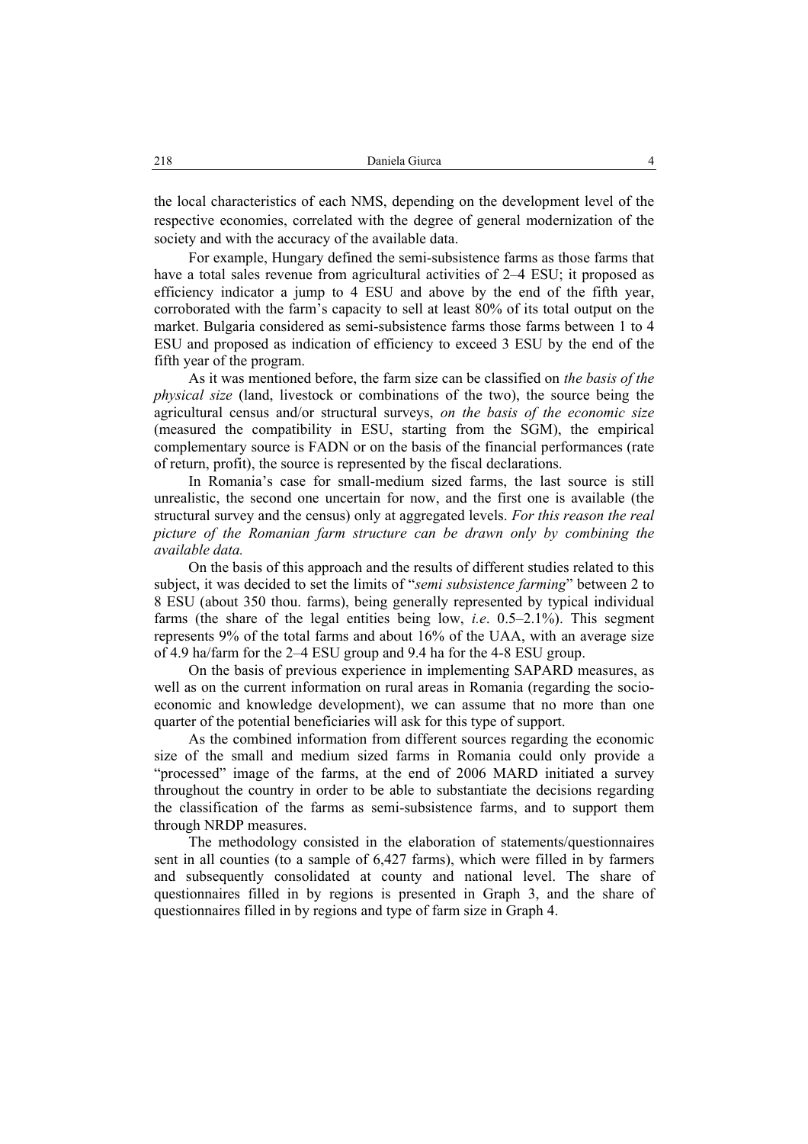the local characteristics of each NMS, depending on the development level of the respective economies, correlated with the degree of general modernization of the society and with the accuracy of the available data.

For example, Hungary defined the semi-subsistence farms as those farms that have a total sales revenue from agricultural activities of 2–4 ESU; it proposed as efficiency indicator a jump to 4 ESU and above by the end of the fifth year, corroborated with the farm's capacity to sell at least 80% of its total output on the market. Bulgaria considered as semi-subsistence farms those farms between 1 to 4 ESU and proposed as indication of efficiency to exceed 3 ESU by the end of the fifth year of the program.

As it was mentioned before, the farm size can be classified on *the basis of the physical size* (land, livestock or combinations of the two), the source being the agricultural census and/or structural surveys, *on the basis of the economic size* (measured the compatibility in ESU, starting from the SGM), the empirical complementary source is FADN or on the basis of the financial performances (rate of return, profit), the source is represented by the fiscal declarations.

In Romania's case for small-medium sized farms, the last source is still unrealistic, the second one uncertain for now, and the first one is available (the structural survey and the census) only at aggregated levels. *For this reason the real picture of the Romanian farm structure can be drawn only by combining the available data.* 

On the basis of this approach and the results of different studies related to this subject, it was decided to set the limits of "*semi subsistence farming*" between 2 to 8 ESU (about 350 thou. farms), being generally represented by typical individual farms (the share of the legal entities being low, *i.e*. 0.5–2.1%). This segment represents 9% of the total farms and about 16% of the UAA, with an average size of 4.9 ha/farm for the 2–4 ESU group and 9.4 ha for the 4-8 ESU group.

On the basis of previous experience in implementing SAPARD measures, as well as on the current information on rural areas in Romania (regarding the socioeconomic and knowledge development), we can assume that no more than one quarter of the potential beneficiaries will ask for this type of support.

As the combined information from different sources regarding the economic size of the small and medium sized farms in Romania could only provide a "processed" image of the farms, at the end of 2006 MARD initiated a survey throughout the country in order to be able to substantiate the decisions regarding the classification of the farms as semi-subsistence farms, and to support them through NRDP measures.

The methodology consisted in the elaboration of statements/questionnaires sent in all counties (to a sample of 6,427 farms), which were filled in by farmers and subsequently consolidated at county and national level. The share of questionnaires filled in by regions is presented in Graph 3, and the share of questionnaires filled in by regions and type of farm size in Graph 4.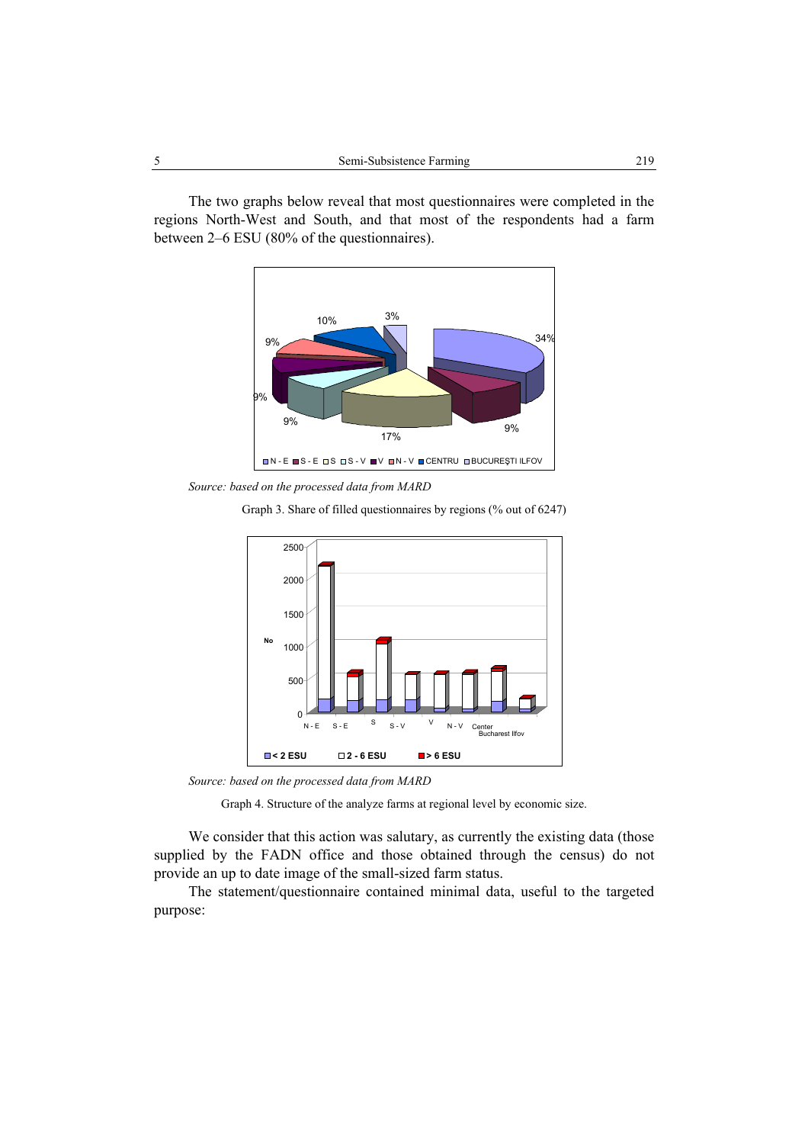The two graphs below reveal that most questionnaires were completed in the regions North-West and South, and that most of the respondents had a farm between 2–6 ESU (80% of the questionnaires).



*Source: based on the processed data from MARD* 

Graph 3. Share of filled questionnaires by regions (% out of 6247)



*Source: based on the processed data from MARD*

Graph 4. Structure of the analyze farms at regional level by economic size.

We consider that this action was salutary, as currently the existing data (those supplied by the FADN office and those obtained through the census) do not provide an up to date image of the small-sized farm status.

The statement/questionnaire contained minimal data, useful to the targeted purpose: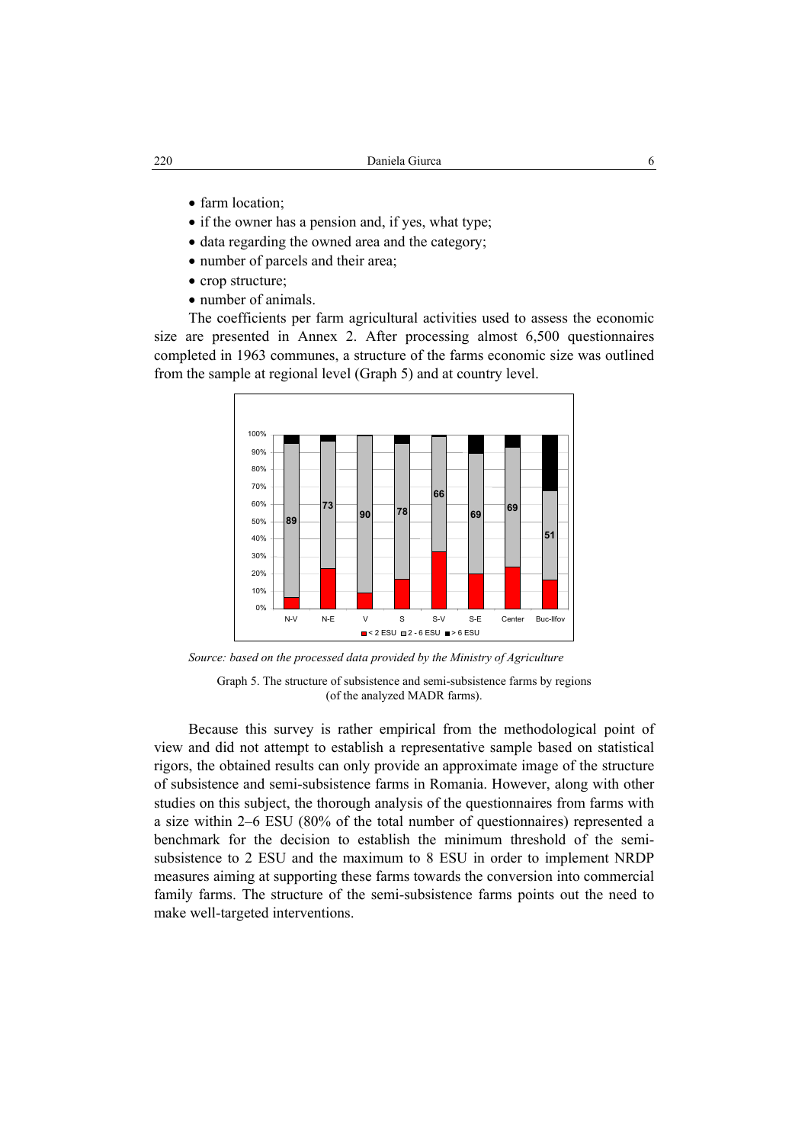- farm location:
- if the owner has a pension and, if yes, what type;
- data regarding the owned area and the category;
- number of parcels and their area;
- crop structure;
- number of animals.

The coefficients per farm agricultural activities used to assess the economic size are presented in Annex 2. After processing almost 6,500 questionnaires completed in 1963 communes, a structure of the farms economic size was outlined from the sample at regional level (Graph 5) and at country level.



*Source: based on the processed data provided by the Ministry of Agriculture*

Graph 5. The structure of subsistence and semi-subsistence farms by regions (of the analyzed MADR farms).

Because this survey is rather empirical from the methodological point of view and did not attempt to establish a representative sample based on statistical rigors, the obtained results can only provide an approximate image of the structure of subsistence and semi-subsistence farms in Romania. However, along with other studies on this subject, the thorough analysis of the questionnaires from farms with a size within 2–6 ESU (80% of the total number of questionnaires) represented a benchmark for the decision to establish the minimum threshold of the semisubsistence to 2 ESU and the maximum to 8 ESU in order to implement NRDP measures aiming at supporting these farms towards the conversion into commercial family farms. The structure of the semi-subsistence farms points out the need to make well-targeted interventions.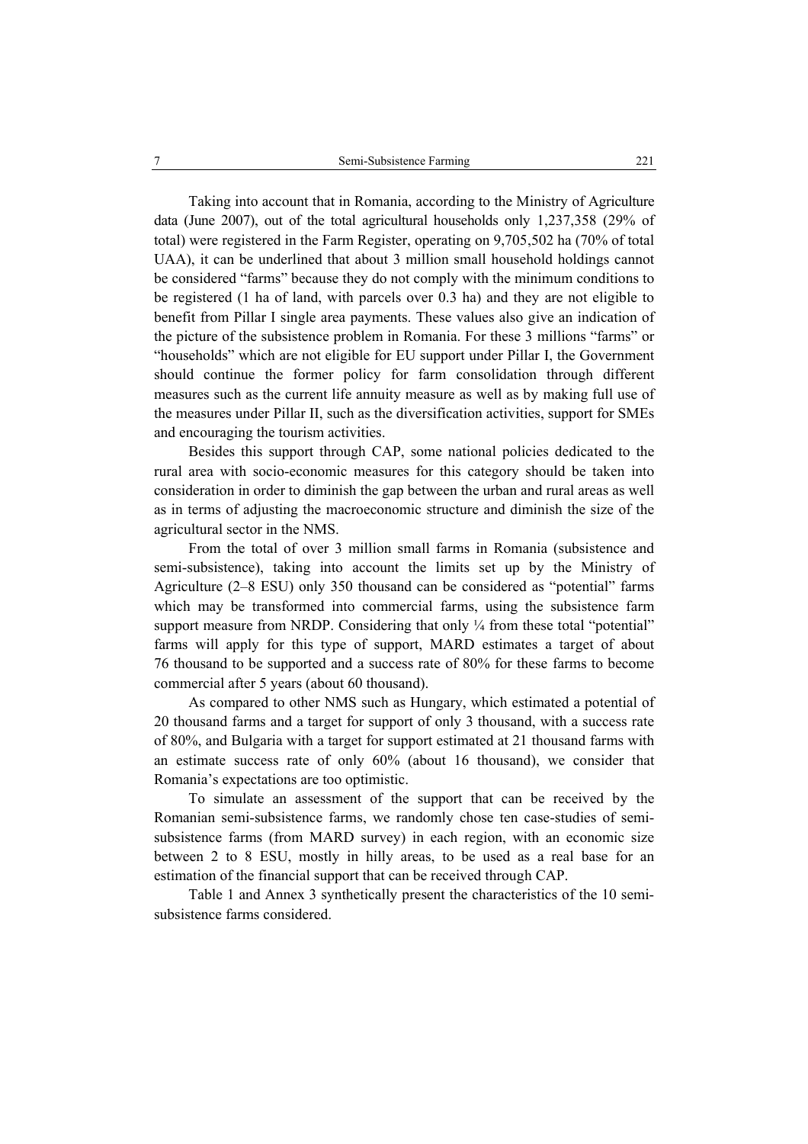Taking into account that in Romania, according to the Ministry of Agriculture data (June 2007), out of the total agricultural households only 1,237,358 (29% of total) were registered in the Farm Register, operating on 9,705,502 ha (70% of total UAA), it can be underlined that about 3 million small household holdings cannot be considered "farms" because they do not comply with the minimum conditions to be registered (1 ha of land, with parcels over 0.3 ha) and they are not eligible to benefit from Pillar I single area payments. These values also give an indication of the picture of the subsistence problem in Romania. For these 3 millions "farms" or "households" which are not eligible for EU support under Pillar I, the Government should continue the former policy for farm consolidation through different measures such as the current life annuity measure as well as by making full use of the measures under Pillar II, such as the diversification activities, support for SMEs and encouraging the tourism activities.

Besides this support through CAP, some national policies dedicated to the rural area with socio-economic measures for this category should be taken into consideration in order to diminish the gap between the urban and rural areas as well as in terms of adjusting the macroeconomic structure and diminish the size of the agricultural sector in the NMS.

From the total of over 3 million small farms in Romania (subsistence and semi-subsistence), taking into account the limits set up by the Ministry of Agriculture (2–8 ESU) only 350 thousand can be considered as "potential" farms which may be transformed into commercial farms, using the subsistence farm support measure from NRDP. Considering that only  $\frac{1}{4}$  from these total "potential" farms will apply for this type of support, MARD estimates a target of about 76 thousand to be supported and a success rate of 80% for these farms to become commercial after 5 years (about 60 thousand).

As compared to other NMS such as Hungary, which estimated a potential of 20 thousand farms and a target for support of only 3 thousand, with a success rate of 80%, and Bulgaria with a target for support estimated at 21 thousand farms with an estimate success rate of only 60% (about 16 thousand), we consider that Romania's expectations are too optimistic.

To simulate an assessment of the support that can be received by the Romanian semi-subsistence farms, we randomly chose ten case-studies of semisubsistence farms (from MARD survey) in each region, with an economic size between 2 to 8 ESU, mostly in hilly areas, to be used as a real base for an estimation of the financial support that can be received through CAP.

Table 1 and Annex 3 synthetically present the characteristics of the 10 semisubsistence farms considered.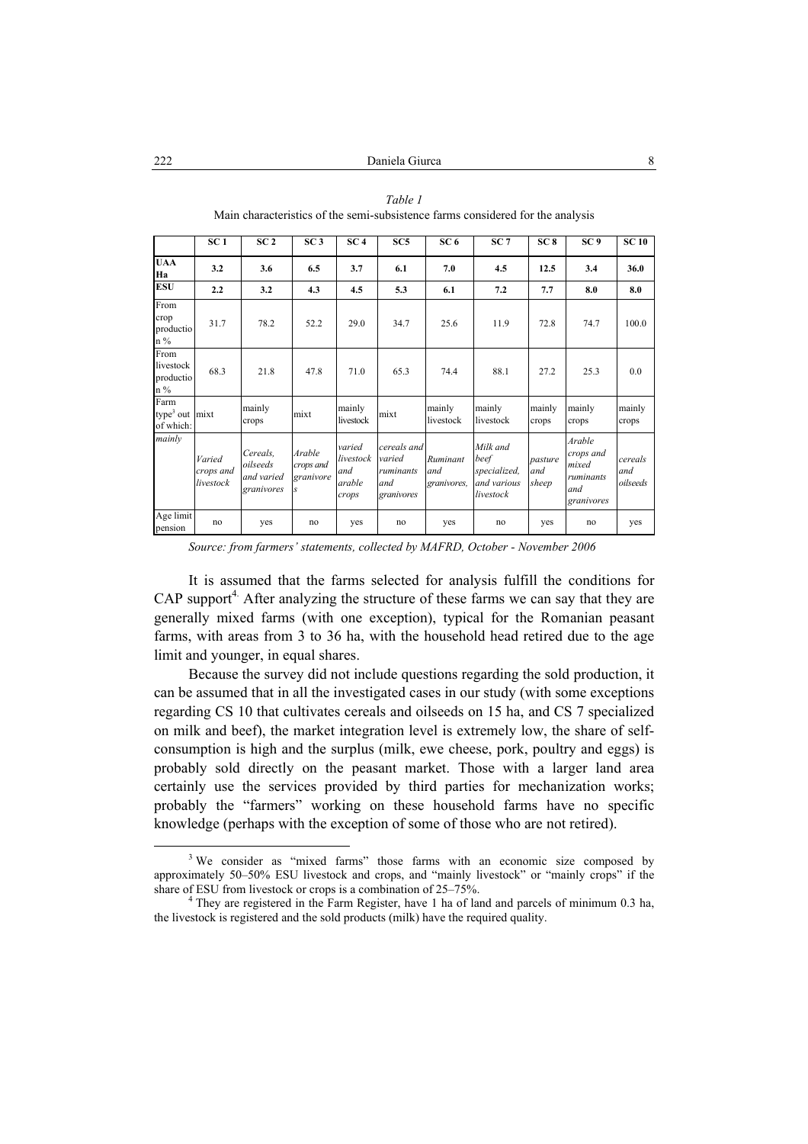|                                                   | SC <sub>1</sub>                  | SC <sub>2</sub>                                  | SC <sub>3</sub>                                   | SC <sub>4</sub>                               | SC5                                                     | SC <sub>6</sub>                | SC <sub>7</sub>                                              | SC <sub>8</sub>         | SC <sub>9</sub>                                                | <b>SC 10</b>               |
|---------------------------------------------------|----------------------------------|--------------------------------------------------|---------------------------------------------------|-----------------------------------------------|---------------------------------------------------------|--------------------------------|--------------------------------------------------------------|-------------------------|----------------------------------------------------------------|----------------------------|
| <b>UAA</b><br>Ha                                  | 3.2                              | 3.6                                              | 6.5                                               | 3.7                                           | 6.1                                                     | 7.0                            | 4.5                                                          | 12.5                    | 3.4                                                            | 36.0                       |
| <b>ESU</b>                                        | 2.2                              | 3.2                                              | 4.3                                               | 4.5                                           | 5.3                                                     | 6.1                            | 7.2                                                          | 7.7                     | 8.0                                                            | 8.0                        |
| From<br>crop<br>productio<br>$n\%$                | 31.7                             | 78.2                                             | 52.2                                              | 29.0                                          | 34.7                                                    | 25.6                           | 11.9                                                         | 72.8                    | 74.7                                                           | 100.0                      |
| From<br>livestock<br>productio<br>$n\%$           | 68.3                             | 21.8                                             | 47.8                                              | 71.0                                          | 65.3                                                    | 74.4                           | 88.1                                                         | 27.2                    | 25.3                                                           | 0.0                        |
| Farm<br>type <sup>3</sup> out $mixt$<br>of which: |                                  | mainly<br>crops                                  | mixt                                              | mainly<br>livestock                           | mixt                                                    | mainly<br>livestock            | mainly<br>livestock                                          | mainly<br>crops         | mainly<br>crops                                                | mainly<br>crops            |
| mainly                                            | Varied<br>crops and<br>livestock | Cereals.<br>oilseeds<br>and varied<br>granivores | Arable<br>crops and<br>granivore<br>$\mathcal{S}$ | varied<br>livestock<br>and<br>arable<br>crops | cereals and<br>varied<br>ruminants<br>and<br>granivores | Ruminant<br>and<br>granivores, | Milk and<br>beef<br>specialized,<br>and various<br>livestock | pasture<br>and<br>sheep | Arable<br>crops and<br>mixed<br>ruminants<br>and<br>granivores | cereals<br>and<br>oilseeds |
| Age limit<br>pension                              | no                               | yes                                              | no                                                | ves                                           | no                                                      | yes                            | no                                                           | yes                     | no                                                             | yes                        |

*Table 1*  Main characteristics of the semi-subsistence farms considered for the analysis

*Source: from farmers' statements, collected by MAFRD, October - November 2006*

It is assumed that the farms selected for analysis fulfill the conditions for  $CAP$  support<sup>4.</sup> After analyzing the structure of these farms we can say that they are generally mixed farms (with one exception), typical for the Romanian peasant farms, with areas from 3 to 36 ha, with the household head retired due to the age limit and younger, in equal shares.

Because the survey did not include questions regarding the sold production, it can be assumed that in all the investigated cases in our study (with some exceptions regarding CS 10 that cultivates cereals and oilseeds on 15 ha, and CS 7 specialized on milk and beef), the market integration level is extremely low, the share of selfconsumption is high and the surplus (milk, ewe cheese, pork, poultry and eggs) is probably sold directly on the peasant market. Those with a larger land area certainly use the services provided by third parties for mechanization works; probably the "farmers" working on these household farms have no specific knowledge (perhaps with the exception of some of those who are not retired).

 $\frac{3}{3}$ <sup>3</sup> We consider as "mixed farms" those farms with an economic size composed by approximately 50–50% ESU livestock and crops, and "mainly livestock" or "mainly crops" if the share of ESU from livestock or crops is a combination of 25–75%.

<sup>&</sup>lt;sup>4</sup> They are registered in the Farm Register, have 1 ha of land and parcels of minimum 0.3 ha, the livestock is registered and the sold products (milk) have the required quality.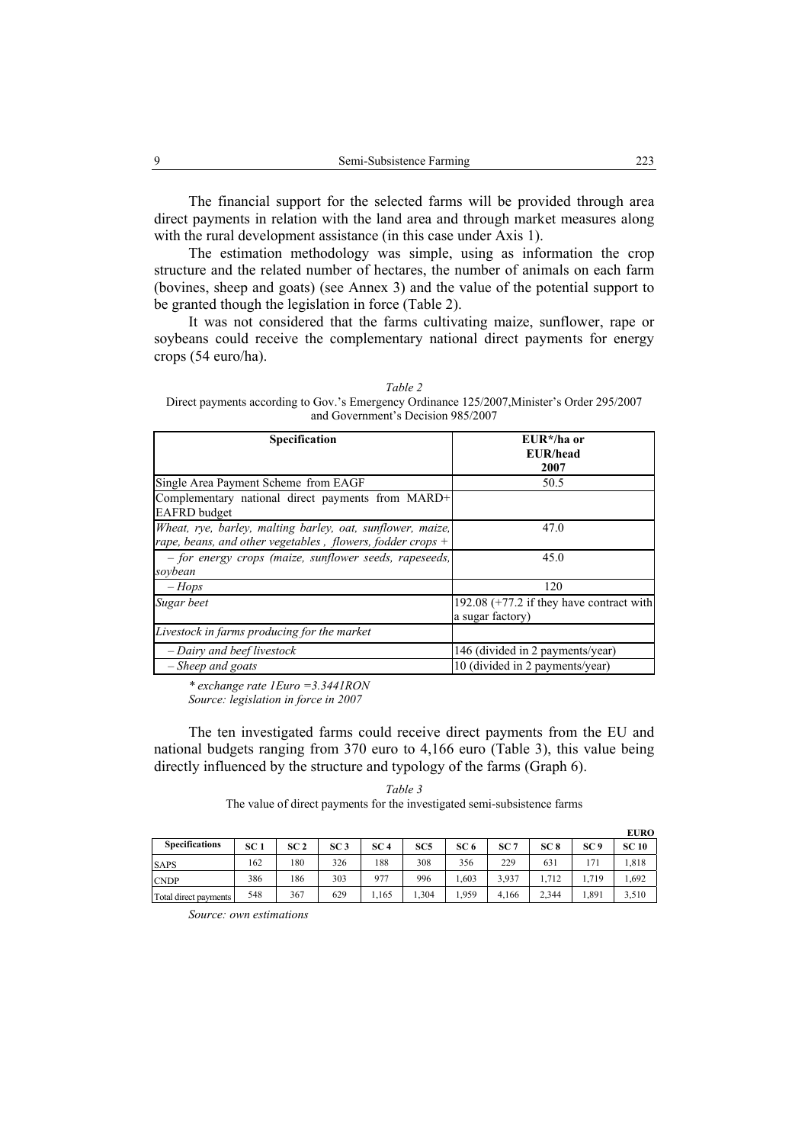The financial support for the selected farms will be provided through area direct payments in relation with the land area and through market measures along with the rural development assistance (in this case under Axis 1).

The estimation methodology was simple, using as information the crop structure and the related number of hectares, the number of animals on each farm (bovines, sheep and goats) (see Annex 3) and the value of the potential support to be granted though the legislation in force (Table 2).

It was not considered that the farms cultivating maize, sunflower, rape or soybeans could receive the complementary national direct payments for energy crops (54 euro/ha).

*Table 2*  Direct payments according to Gov.'s Emergency Ordinance 125/2007,Minister's Order 295/2007 and Government's Decision 985/2007

| <b>Specification</b>                                                                                                       | $EUR^*/ha$ or<br>EUR/head<br>2007                               |
|----------------------------------------------------------------------------------------------------------------------------|-----------------------------------------------------------------|
| Single Area Payment Scheme from EAGF                                                                                       | 50.5                                                            |
| Complementary national direct payments from MARD+<br><b>EAFRD</b> budget                                                   |                                                                 |
| Wheat, rye, barley, malting barley, oat, sunflower, maize,<br>rape, beans, and other vegetables, flowers, fodder crops $+$ | 47.0                                                            |
| - for energy crops (maize, sunflower seeds, rapeseeds,<br>soybean                                                          | 45.0                                                            |
| $-Hops$                                                                                                                    | 120                                                             |
| Sugar beet                                                                                                                 | 192.08 $(+77.2)$ if they have contract with<br>a sugar factory) |
| Livestock in farms producing for the market                                                                                |                                                                 |
| - Dairy and beef livestock                                                                                                 | 146 (divided in 2 payments/year)                                |
| $-Sheep$ and goats                                                                                                         | 10 (divided in 2 payments/year)                                 |

*\* exchange rate 1Euro =3.3441RON Source: legislation in force in 2007* 

The ten investigated farms could receive direct payments from the EU and national budgets ranging from 370 euro to 4,166 euro (Table 3), this value being directly influenced by the structure and typology of the farms (Graph 6).

*Table 3*  The value of direct payments for the investigated semi-subsistence farms

|                       |                 |                 |                 |                 |                 |                 |                 |                 |                 | <b>EURO</b>  |
|-----------------------|-----------------|-----------------|-----------------|-----------------|-----------------|-----------------|-----------------|-----------------|-----------------|--------------|
| <b>Specifications</b> | SC <sub>1</sub> | SC <sub>2</sub> | SC <sub>3</sub> | SC <sub>4</sub> | SC <sub>5</sub> | SC <sub>6</sub> | SC <sub>7</sub> | SC <sub>8</sub> | SC <sub>9</sub> | <b>SC 10</b> |
| <b>SAPS</b>           | 162             | 180             | 326             | 188             | 308             | 356             | 229             | 631             | 171             | 1,818        |
| <b>CNDP</b>           | 386             | 186             | 303             | 977             | 996             | 1.603           | 3.937           | .712            | 1,719           | .692         |
| Total direct payments | 548             | 367             | 629             | 1,165           | .304            | .959            | 4.166           | 2,344           | 1,891           | 3,510        |

*Source: own estimations*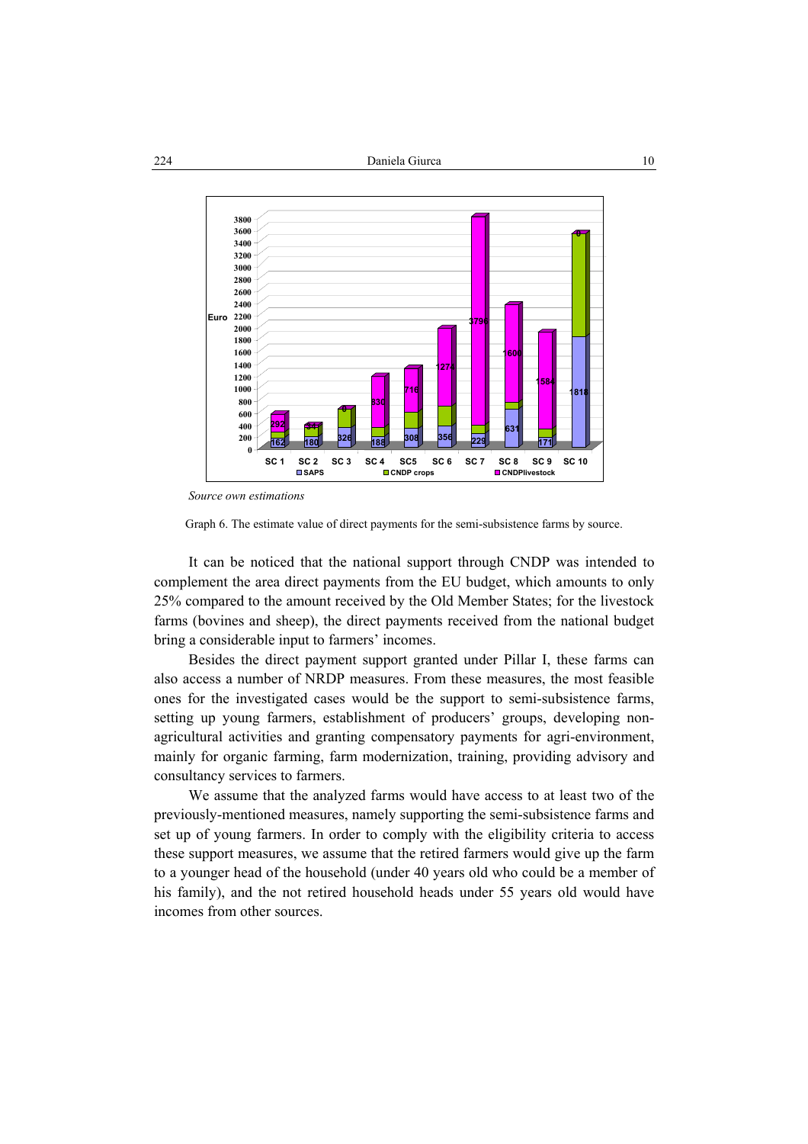

*Source own estimations*

Graph 6. The estimate value of direct payments for the semi-subsistence farms by source.

It can be noticed that the national support through CNDP was intended to complement the area direct payments from the EU budget, which amounts to only 25% compared to the amount received by the Old Member States; for the livestock farms (bovines and sheep), the direct payments received from the national budget bring a considerable input to farmers' incomes.

Besides the direct payment support granted under Pillar I, these farms can also access a number of NRDP measures. From these measures, the most feasible ones for the investigated cases would be the support to semi-subsistence farms, setting up young farmers, establishment of producers' groups, developing nonagricultural activities and granting compensatory payments for agri-environment, mainly for organic farming, farm modernization, training, providing advisory and consultancy services to farmers.

We assume that the analyzed farms would have access to at least two of the previously-mentioned measures, namely supporting the semi-subsistence farms and set up of young farmers. In order to comply with the eligibility criteria to access these support measures, we assume that the retired farmers would give up the farm to a younger head of the household (under 40 years old who could be a member of his family), and the not retired household heads under 55 years old would have incomes from other sources.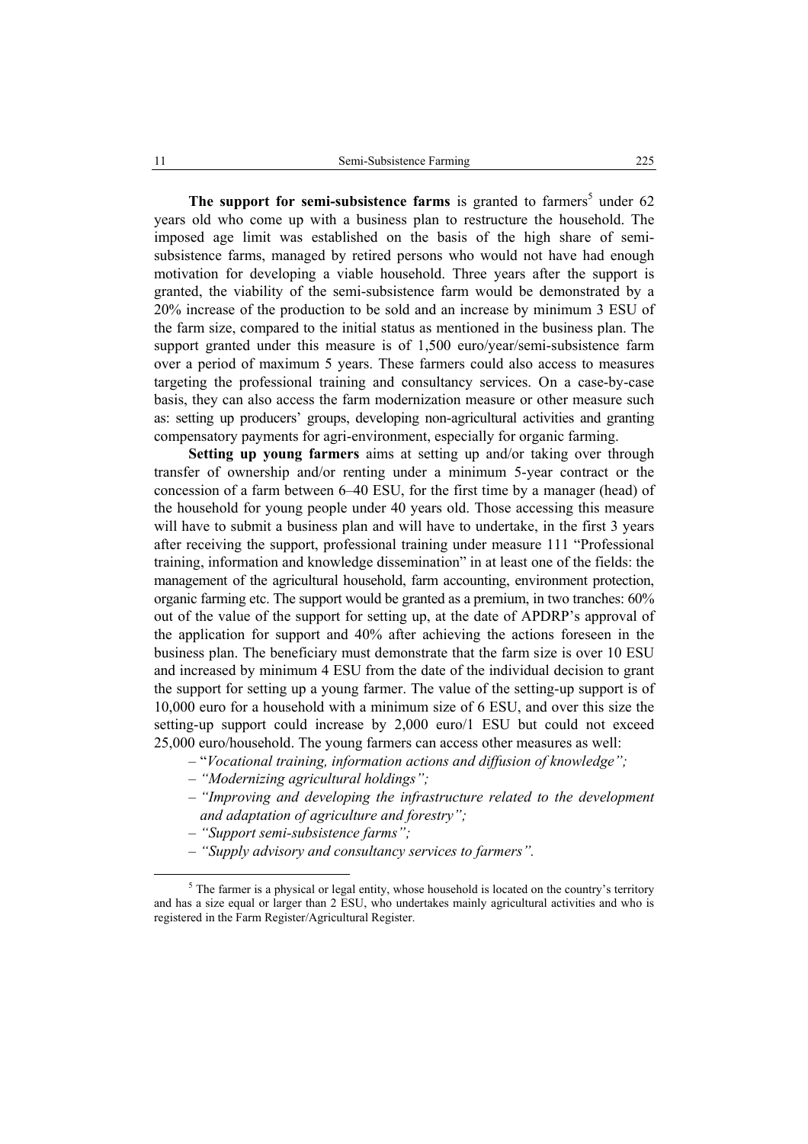The support for semi-subsistence farms is granted to farmers<sup>5</sup> under  $62$ years old who come up with a business plan to restructure the household. The imposed age limit was established on the basis of the high share of semisubsistence farms, managed by retired persons who would not have had enough motivation for developing a viable household. Three years after the support is granted, the viability of the semi-subsistence farm would be demonstrated by a 20% increase of the production to be sold and an increase by minimum 3 ESU of the farm size, compared to the initial status as mentioned in the business plan. The support granted under this measure is of 1,500 euro/year/semi-subsistence farm over a period of maximum 5 years. These farmers could also access to measures targeting the professional training and consultancy services. On a case-by-case basis, they can also access the farm modernization measure or other measure such as: setting up producers' groups, developing non-agricultural activities and granting compensatory payments for agri-environment, especially for organic farming.

**Setting up young farmers** aims at setting up and/or taking over through transfer of ownership and/or renting under a minimum 5-year contract or the concession of a farm between 6–40 ESU, for the first time by a manager (head) of the household for young people under 40 years old. Those accessing this measure will have to submit a business plan and will have to undertake, in the first 3 years after receiving the support, professional training under measure 111 "Professional training, information and knowledge dissemination" in at least one of the fields: the management of the agricultural household, farm accounting, environment protection, organic farming etc. The support would be granted as a premium, in two tranches: 60% out of the value of the support for setting up, at the date of APDRP's approval of the application for support and 40% after achieving the actions foreseen in the business plan. The beneficiary must demonstrate that the farm size is over 10 ESU and increased by minimum 4 ESU from the date of the individual decision to grant the support for setting up a young farmer. The value of the setting-up support is of 10,000 euro for a household with a minimum size of 6 ESU, and over this size the setting-up support could increase by 2,000 euro/1 ESU but could not exceed 25,000 euro/household. The young farmers can access other measures as well:

- "*Vocational training, information actions and diffusion of knowledge";*
- *"Modernizing agricultural holdings";*
- *"Improving and developing the infrastructure related to the development and adaptation of agriculture and forestry";*
- *"Support semi-subsistence farms";*
- *"Supply advisory and consultancy services to farmers".*

 $rac{1}{5}$  $5$  The farmer is a physical or legal entity, whose household is located on the country's territory and has a size equal or larger than 2 ESU, who undertakes mainly agricultural activities and who is registered in the Farm Register/Agricultural Register.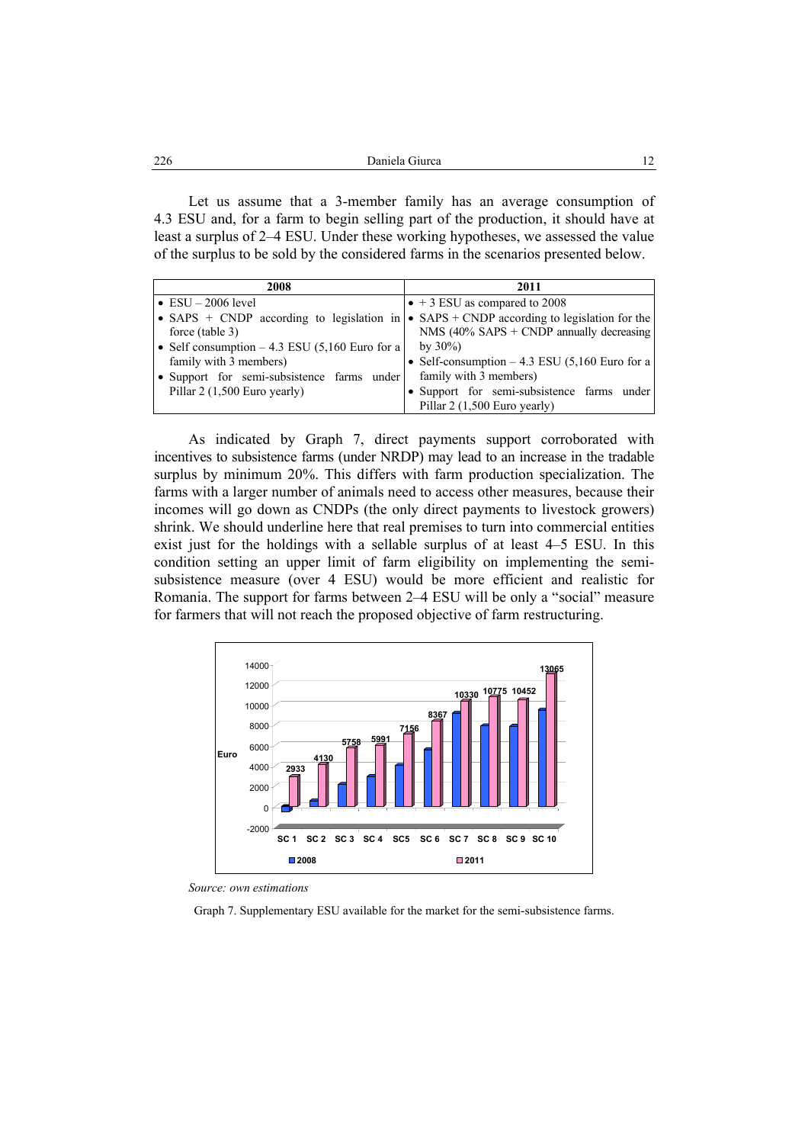|  | 226 | Daniela Giurca |  |
|--|-----|----------------|--|
|--|-----|----------------|--|

Let us assume that a 3-member family has an average consumption of 4.3 ESU and, for a farm to begin selling part of the production, it should have at least a surplus of 2–4 ESU. Under these working hypotheses, we assessed the value of the surplus to be sold by the considered farms in the scenarios presented below.

| 2008                                            | 2011                                             |  |  |  |  |
|-------------------------------------------------|--------------------------------------------------|--|--|--|--|
| $\bullet$ ESU $-$ 2006 level                    | $\bullet$ + 3 ESU as compared to 2008            |  |  |  |  |
| • SAPS $+$ CNDP according to legislation in     | • $SAPS + CNDP$ according to legislation for the |  |  |  |  |
| force (table 3)                                 | NMS $(40\%$ SAPS + CNDP annually decreasing      |  |  |  |  |
| • Self consumption $-4.3$ ESU (5,160 Euro for a | by $30\%$ )                                      |  |  |  |  |
| family with 3 members)                          | • Self-consumption $-4.3$ ESU (5,160 Euro for a  |  |  |  |  |
| · Support for semi-subsistence farms under      | family with 3 members)                           |  |  |  |  |
| Pillar 2 (1,500 Euro yearly)                    | • Support for semi-subsistence farms under       |  |  |  |  |
|                                                 | Pillar 2 (1,500 Euro yearly)                     |  |  |  |  |

As indicated by Graph 7, direct payments support corroborated with incentives to subsistence farms (under NRDP) may lead to an increase in the tradable surplus by minimum 20%. This differs with farm production specialization. The farms with a larger number of animals need to access other measures, because their incomes will go down as CNDPs (the only direct payments to livestock growers) shrink. We should underline here that real premises to turn into commercial entities exist just for the holdings with a sellable surplus of at least 4–5 ESU. In this condition setting an upper limit of farm eligibility on implementing the semisubsistence measure (over 4 ESU) would be more efficient and realistic for Romania. The support for farms between 2–4 ESU will be only a "social" measure for farmers that will not reach the proposed objective of farm restructuring.



*Source: own estimations* 

Graph 7. Supplementary ESU available for the market for the semi-subsistence farms.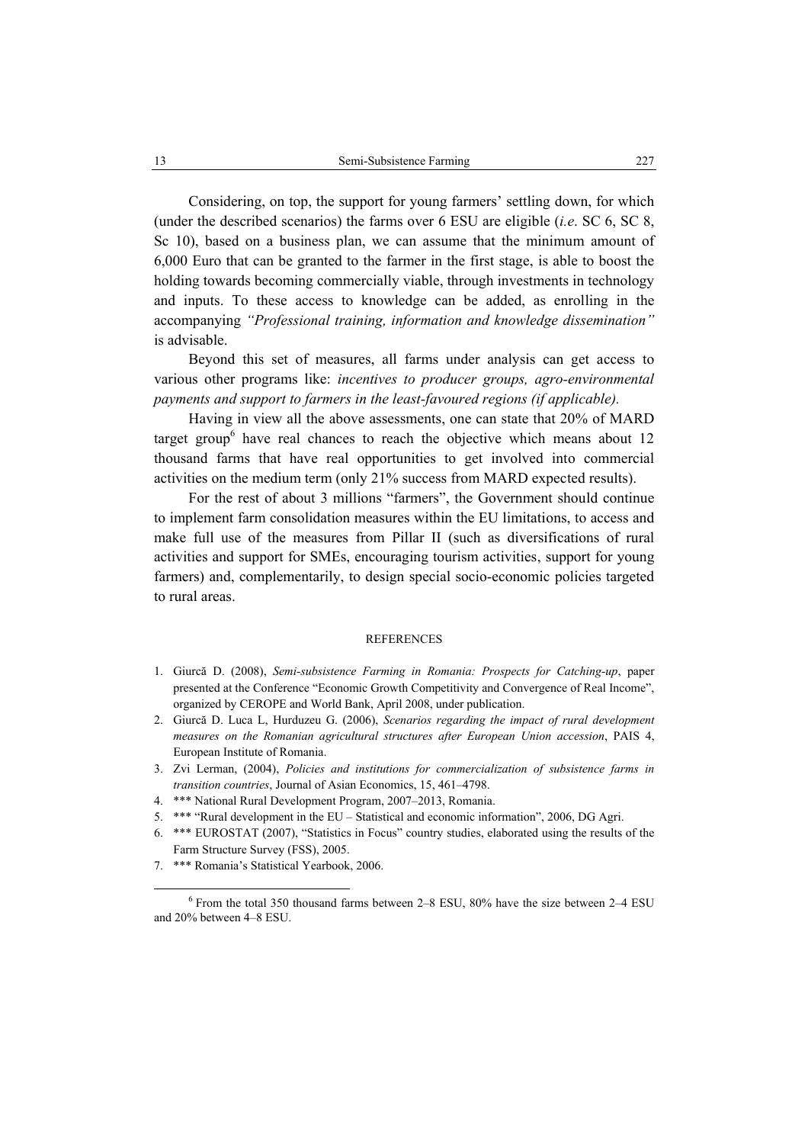Considering, on top, the support for young farmers' settling down, for which (under the described scenarios) the farms over 6 ESU are eligible (*i.e*. SC 6, SC 8, Sc 10), based on a business plan, we can assume that the minimum amount of 6,000 Euro that can be granted to the farmer in the first stage, is able to boost the holding towards becoming commercially viable, through investments in technology and inputs. To these access to knowledge can be added, as enrolling in the accompanying *"Professional training, information and knowledge dissemination"*  is advisable.

Beyond this set of measures, all farms under analysis can get access to various other programs like: *incentives to producer groups, agro-environmental payments and support to farmers in the least-favoured regions (if applicable).*

Having in view all the above assessments, one can state that 20% of MARD target group<sup>6</sup> have real chances to reach the objective which means about  $12$ thousand farms that have real opportunities to get involved into commercial activities on the medium term (only 21% success from MARD expected results).

For the rest of about 3 millions "farmers", the Government should continue to implement farm consolidation measures within the EU limitations, to access and make full use of the measures from Pillar II (such as diversifications of rural activities and support for SMEs, encouraging tourism activities, support for young farmers) and, complementarily, to design special socio-economic policies targeted to rural areas.

#### **REFERENCES**

- 1. Giurcă D. (2008), *Semi-subsistence Farming in Romania: Prospects for Catching-up*, paper presented at the Conference "Economic Growth Competitivity and Convergence of Real Income", organized by CEROPE and World Bank, April 2008, under publication.
- 2. Giurcă D. Luca L, Hurduzeu G. (2006), *Scenarios regarding the impact of rural development measures on the Romanian agricultural structures after European Union accession*, PAIS 4, European Institute of Romania.
- 3. Zvi Lerman, (2004), *Policies and institutions for commercialization of subsistence farms in transition countries*, Journal of Asian Economics, 15, 461–4798.
- 4. \*\*\* National Rural Development Program, 2007–2013, Romania.
- 5. \*\*\* "Rural development in the EU Statistical and economic information", 2006, DG Agri.
- 6. \*\*\* EUROSTAT (2007), "Statistics in Focus" country studies, elaborated using the results of the Farm Structure Survey (FSS), 2005.
- 7. \*\*\* Romania's Statistical Yearbook, 2006.

 $\overline{6}$  $6$  From the total 350 thousand farms between 2–8 ESU, 80% have the size between 2–4 ESU and 20% between 4–8 ESU.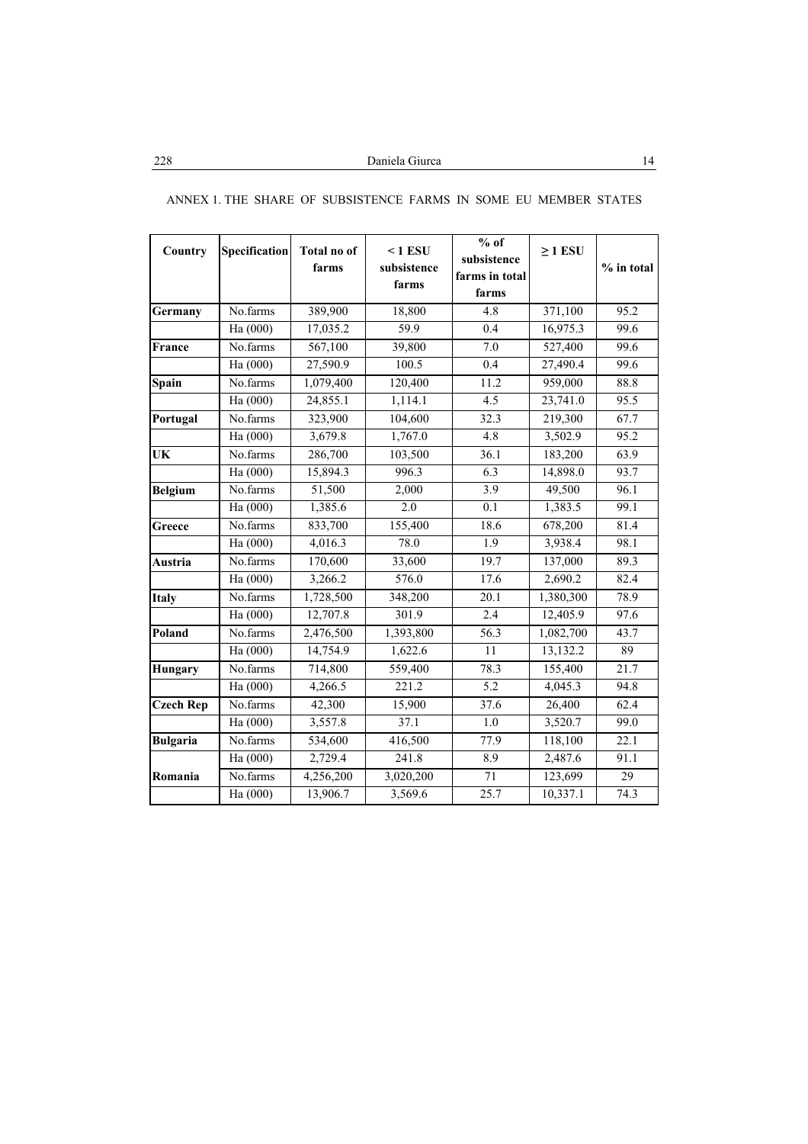| Country          | <b>Specification</b> | <b>Total no of</b><br>farms | $< 1$ ESU<br>subsistence<br>farms | $%$ of<br>subsistence<br>farms in total | $\geq$ 1 ESU | $%$ in total      |
|------------------|----------------------|-----------------------------|-----------------------------------|-----------------------------------------|--------------|-------------------|
|                  |                      |                             |                                   | farms                                   |              |                   |
| Germany          | No.farms             | 389,900                     | 18,800                            | 4.8                                     | 371,100      | 95.2              |
|                  | Ha (000)             | 17,035.2                    | $\overline{59.9}$                 | 0.4                                     | 16,975.3     | 99.6              |
| France           | No.farms             | 567,100                     | 39,800                            | 7.0                                     | 527,400      | 99.6              |
|                  | Ha (000)             | 27,590.9                    | 100.5                             | 0.4                                     | 27,490.4     | 99.6              |
| Spain            | No.farms             | 1,079,400                   | 120,400                           | 11.2                                    | 959,000      | 88.8              |
|                  | Ha (000)             | 24,855.1                    | 1,114.1                           | 4.5                                     | 23,741.0     | 95.5              |
| Portugal         | No.farms             | 323,900                     | 104,600                           | 32.3                                    | 219,300      | 67.7              |
|                  | Ha $(000)$           | 3,679.8                     | 1,767.0                           | 4.8                                     | 3,502.9      | 95.2              |
| UK               | No.farms             | 286,700                     | 103,500                           | 36.1                                    | 183,200      | 63.9              |
|                  | Ha (000)             | 15,894.3                    | 996.3                             | 6.3                                     | 14,898.0     | 93.7              |
| <b>Belgium</b>   | No.farms             | 51,500                      | 2,000                             | 3.9                                     | 49,500       | 96.1              |
|                  | Ha (000)             | 1,385.6                     | $\overline{2.0}$                  | 0.1                                     | 1,383.5      | 99.1              |
| Greece           | No.farms             | 833,700                     | 155,400                           | 18.6                                    | 678,200      | 81.4              |
|                  | Ha (000)             | 4,016.3                     | 78.0                              | 1.9                                     | 3,938.4      | 98.1              |
| Austria          | No.farms             | 170,600                     | 33,600                            | 19.7                                    | 137,000      | 89.3              |
|                  | Ha $(000)$           | 3,266.2                     | 576.0                             | 17.6                                    | 2,690.2      | 82.4              |
| <b>Italy</b>     | No.farms             | 1,728,500                   | 348,200                           | 20.1                                    | 1,380,300    | 78.9              |
|                  | Ha (000)             | 12,707.8                    | 301.9                             | 2.4                                     | 12,405.9     | 97.6              |
| Poland           | No.farms             | 2,476,500                   | 1,393,800                         | 56.3                                    | 1,082,700    | 43.7              |
|                  | Ha (000)             | 14,754.9                    | 1,622.6                           | 11                                      | 13,132.2     | 89                |
| Hungary          | No.farms             | 714,800                     | 559,400                           | 78.3                                    | 155,400      | 21.7              |
|                  | Ha (000)             | 4,266.5                     | 221.2                             | $\overline{5.2}$                        | 4,045.3      | 94.8              |
| <b>Czech Rep</b> | No.farms             | 42,300                      | 15,900                            | 37.6                                    | 26,400       | 62.4              |
|                  | Ha (000)             | 3,557.8                     | 37.1                              | 1.0                                     | 3,520.7      | 99.0              |
| <b>Bulgaria</b>  | No.farms             | 534,600                     | 416,500                           | 77.9                                    | 118,100      | 22.1              |
|                  | Ha $(000)$           | 2,729.4                     | 241.8                             | 8.9                                     | 2,487.6      | 91.1              |
| Romania          | No.farms             | 4,256,200                   | 3,020,200                         | $\overline{71}$                         | 123,699      | $\overline{29}$   |
|                  | Ha (000)             | 13,906.7                    | 3,569.6                           | 25.7                                    | 10,337.1     | $\overline{74.3}$ |

## ANNEX 1. THE SHARE OF SUBSISTENCE FARMS IN SOME EU MEMBER STATES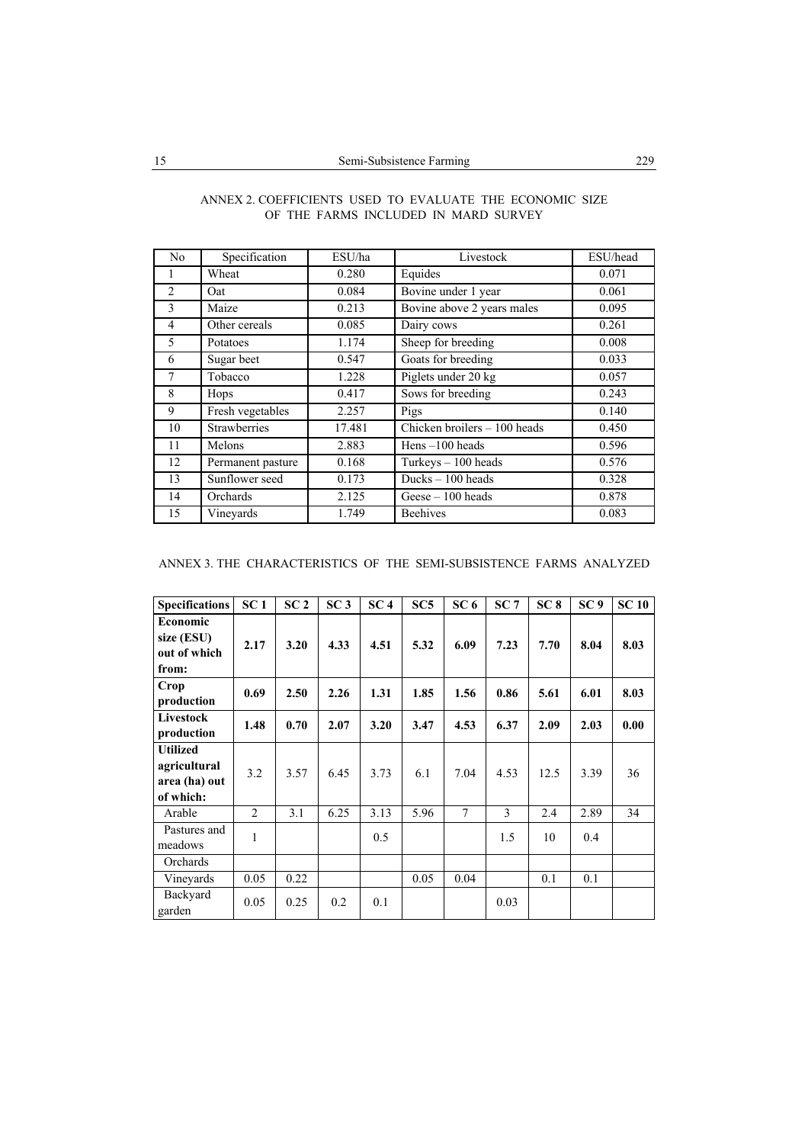| N <sub>0</sub>  | Specification       | ESU/ha | Livestock                                        | ESU/head |
|-----------------|---------------------|--------|--------------------------------------------------|----------|
|                 | Wheat               | 0.280  | Equides                                          | 0.071    |
| $\overline{c}$  | Oat                 | 0.084  | Bovine under 1 year                              | 0.061    |
| 3               | Maize               | 0.213  | Bovine above 2 years males                       | 0.095    |
| 4               | Other cereals       | 0.085  | Dairy cows                                       | 0.261    |
| 5               | Potatoes            | 1.174  | Sheep for breeding                               | 0.008    |
| 6               | Sugar beet          | 0.547  | Goats for breeding                               | 0.033    |
| $7\phantom{.0}$ | Tobacco             | 1.228  | Piglets under 20 kg                              | 0.057    |
| 8               | Hops                | 0.417  | Sows for breeding                                | 0.243    |
| 9               | Fresh vegetables    | 2.257  | Pigs                                             | 0.140    |
| 10              | <b>Strawberries</b> | 17.481 | $\overline{\text{Chicken}}$ broilers - 100 heads | 0.450    |
| 11              | Melons              | 2.883  | Hens $-100$ heads                                | 0.596    |
| 12              | Permanent pasture   | 0.168  | Turkeys $-100$ heads                             | 0.576    |
| 13              | Sunflower seed      | 0.173  | Ducks $-100$ heads                               | 0.328    |
| 14              | Orchards            | 2.125  | $Gese - 100$ heads                               | 0.878    |
| 15              | Vinevards           | 1.749  | <b>Beehives</b>                                  | 0.083    |

### ANNEX 2. COEFFICIENTS USED TO EVALUATE THE ECONOMIC SIZE OF THE FARMS INCLUDED IN MARD SURVEY

ANNEX 3. THE CHARACTERISTICS OF THE SEMI-SUBSISTENCE FARMS ANALYZED

| <b>Specifications</b>                                         | SC <sub>1</sub> | SC <sub>2</sub> | SC <sub>3</sub> | SC <sub>4</sub> | SC <sub>5</sub> | SC <sub>6</sub> | SC <sub>7</sub> | SC <sub>8</sub> | SC <sub>9</sub> | SC <sub>10</sub> |
|---------------------------------------------------------------|-----------------|-----------------|-----------------|-----------------|-----------------|-----------------|-----------------|-----------------|-----------------|------------------|
| Economic<br>size (ESU)<br>out of which<br>from:               | 2.17            | 3.20            | 4.33            | 4.51            | 5.32            | 6.09            | 7.23            | 7.70            | 8.04            | 8.03             |
| Crop<br>production                                            | 0.69            | 2.50            | 2.26            | 1.31            | 1.85            | 1.56            | 0.86            | 5.61            | 6.01            | 8.03             |
| Livestock<br>production                                       | 1.48            | 0.70            | 2.07            | 3.20            | 3.47            | 4.53            | 6.37            | 2.09            | 2.03            | 0.00             |
| <b>Utilized</b><br>agricultural<br>area (ha) out<br>of which: | 3.2             | 3.57            | 6.45            | 3.73            | 6.1             | 7.04            | 4.53            | 12.5            | 3.39            | 36               |
| Arable                                                        | $\overline{2}$  | 3.1             | 6.25            | 3.13            | 5.96            | $\overline{7}$  | 3               | 2.4             | 2.89            | 34               |
| Pastures and<br>meadows                                       | 1               |                 |                 | 0.5             |                 |                 | 1.5             | 10              | 0.4             |                  |
| Orchards                                                      |                 |                 |                 |                 |                 |                 |                 |                 |                 |                  |
| Vineyards                                                     | 0.05            | 0.22            |                 |                 | 0.05            | 0.04            |                 | 0.1             | 0.1             |                  |
| Backyard<br>garden                                            | 0.05            | 0.25            | 0.2             | 0.1             |                 |                 | 0.03            |                 |                 |                  |